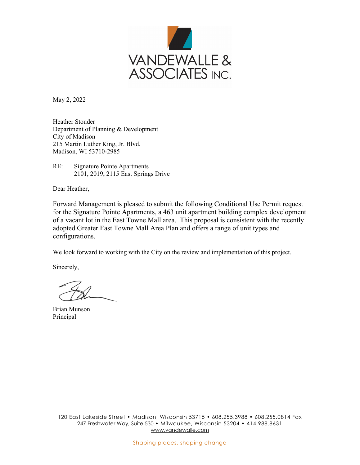

May 2, 2022

Heather Stouder Department of Planning & Development City of Madison 215 Martin Luther King, Jr. Blvd. Madison, WI 53710-2985

RE: Signature Pointe Apartments 2101, 2019, 2115 East Springs Drive

Dear Heather,

Forward Management is pleased to submit the following Conditional Use Permit request for the Signature Pointe Apartments, a 463 unit apartment building complex development of a vacant lot in the East Towne Mall area. This proposal is consistent with the recently adopted Greater East Towne Mall Area Plan and offers a range of unit types and configurations.

We look forward to working with the City on the review and implementation of this project.

Sincerely,

Brian Munson Principal

120 East Lakeside Street • Madison, Wisconsin 53715 • 608.255.3988 • 608.255.0814 Fax 247 Freshwater Way, Suite 530 • Milwaukee, Wisconsin 53204 • 414.988.8631 www.vandewalle.com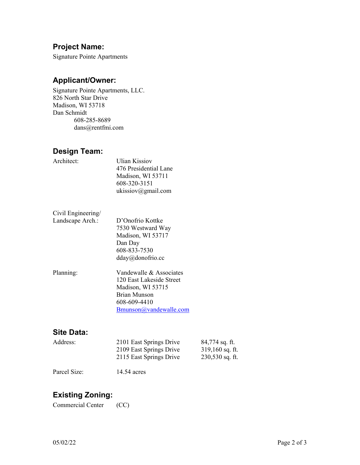### **Project Name:**

Signature Pointe Apartments

#### **Applicant/Owner:**

Signature Pointe Apartments, LLC. 826 North Star Drive Madison, WI 53718 Dan Schmidt 608-285-8689 dans@rentfmi.com

#### **Design Team:**

| Architect:         | <b>Ulian Kissiov</b><br>476 Presidential Lane<br>Madison, WI 53711<br>608-320-3151<br>ukissiov@gmail.com |
|--------------------|----------------------------------------------------------------------------------------------------------|
| Civil Engineering/ |                                                                                                          |
| Landscape Arch.:   | D'Onofrio Kottke                                                                                         |
|                    | 7530 Westward Way                                                                                        |
|                    | Madison, WI 53717                                                                                        |
|                    | Dan Day                                                                                                  |
|                    | 608-833-7530                                                                                             |
|                    | $dday@d$ onofrio.cc                                                                                      |
| Planning:          | Vandewalle & Associates                                                                                  |
|                    | 120 East Lakeside Street                                                                                 |
|                    | Madison, WI 53715                                                                                        |
|                    | <b>Brian Munson</b>                                                                                      |
|                    | 608-609-4410                                                                                             |
|                    | Bmunson@vandewalle.com                                                                                   |
|                    |                                                                                                          |

#### **Site Data:**

| Address: | 2101 East Springs Drive | 84,774 sq. ft.    |
|----------|-------------------------|-------------------|
|          | 2109 East Springs Drive | $319,160$ sq. ft. |
|          | 2115 East Springs Drive | $230,530$ sq. ft. |

Parcel Size: 14.54 acres

## **Existing Zoning:**

Commercial Center (CC)